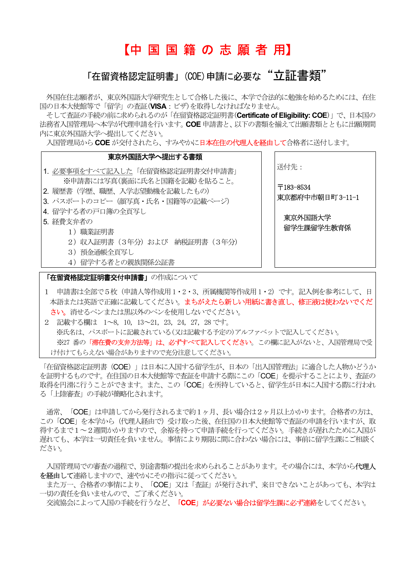# 【中 国 国 籍 の 志 願 者 用】

# 「在留資格認定証明書」(COE)申請に必要な "立証書類"

外国在住志願者が、東京外国語大学研究生として合格した後に、本学で合法的に勉強を始めるためには、在住 国の日本大使館等で「留学」の査証(VISA:ビザ)を取得しなければなりません。

そして査証の手続の前に求められるのが「在留資格認定証明書(Certificate of Eligibility: COE)」で、日本国の 法務省入国管理局へ本学が代理申請を行います。COE 申請書と、以下の書類を揃えて出願書類とともに出願期間 内に東京外国語大学へ提出してください。

入国管理局からCOE が交付されたら、すみやかに日本在住の代理人を経由して合格者に送付します。

#### 東京外国語大学へ提出する書類 1. 必要事項をすべて記入した「在留資格認定証明書交付申請書」 ※申請書には写真(裏面に氏名と国籍を記載)を貼ること。 2. 履歴書(学歴、職歴、入学志望動機を記載したもの) 3. パスポートのコピー(顔写真・氏名・国籍等の記載ページ) 4 留学する者の戸口鐘の全百写し 5. 経費支弁者の 1)職業証明書 2) 収入証明書 (3年分) および 納税証明書 (3年分) 3)預金通帳全頁写し 4)留学する者との親族関係公証書 送付先: 〒183-8534 東京都府中市朝日町 3-11-1 東京外国語大学 留学生課留学生教育係 **「在留資格認定証明書交付申請書」**の作成について

- 1 申請書は全部で5枚(申請人等作成用 1・2・3、所属機関等作成用 1・2)です。記入例を参考にして、日 本語または英語で正確に記載してください。まちがえたら新しい用紙に書き直し、修正液は使わないでくだ さい。消せるペンまたは黒以外のペンを使用しないでください。
- 2 記載する欄は 1~8, 10, 13~21, 23,24, 27, 28 です。 ※氏名は、パスポートに記載されている(又は記載する予定の)アルファベットで記入してください。 ※27 番の「**滞在費の支弁方法等」は、必ずすべて記入してください**。この欄に記入がないと、入国管理局で受 け付けてもらえない場合がありますので充分注意してください。

「在留資格認定証明書 (COE) 」は日本に入国する留学生が、日本の「出入国管理法」に適合した人物かどうか を証明するものです。在住国の日本大使館等で査証を申請する際にこの「COE」を提示することにより、査証の 取得を円滑に行うことができます。また、この「COE」を所持していると、留学生が日本に入国する際に行われ る「上陸審査」の手続が簡略化されます。

 通常、「COE」は申請してから発行されるまで約1ヶ月、長い場合は2ヶ月以上かかります。合格者の方は、 この「COE」を本学から(代理人経由で)受け取った後、在住国の日本大使館等で査証の申請を行いますが、取 得するまで1~2週間かかりますので、余裕を持って申請手続を行ってください。手続きが遅れたために入国が 遅れても、本学は一切責任を負いません。事情により期限に間に合わない場合には、事前に留学生課にご相談く ださい。

入国管理局での審査の過程で、別途書類の提出を求められることがあります。その場合には、本学から代理人 を経由して連絡しますので、速やかにその指示に従ってください。

また万一、合格者の事情により、「COE」又は「査証」が発行されず、来日できないことがあっても、本学は 一切の責任を負いませんので、ご了承ください。

交流協会によって入国の手続を行うなど、「COE」が必要ない場合は留学生課に必ず連絡をしてください。